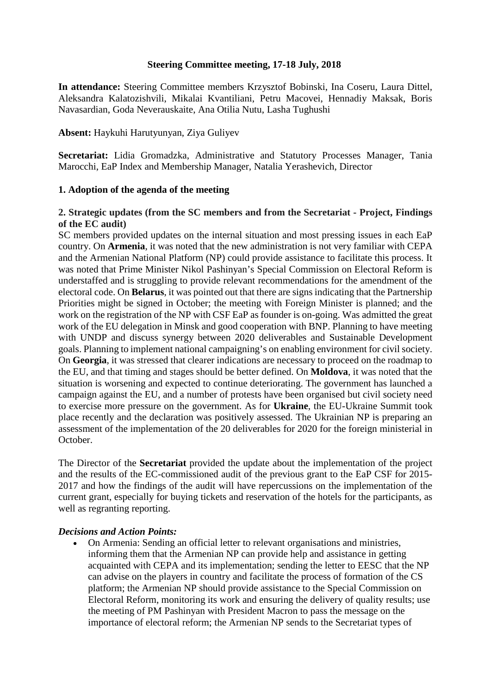### **Steering Committee meeting, 17-18 July, 2018**

**In attendance:** Steering Committee members Krzysztof Bobinski, Ina Coseru, Laura Dittel, Aleksandra Kalatozishvili, Mikalai Kvantiliani, Petru Macovei, Hennadiy Maksak, Boris Navasardian, Goda Neverauskaite, Ana Otilia Nutu, Lasha Tughushi

**Absent:** Haykuhi Harutyunyan, Ziya Guliyev

**Secretariat:** Lidia Gromadzka, Administrative and Statutory Processes Manager, Tania Marocchi, EaP Index and Membership Manager, Natalia Yerashevich, Director

### **1. Adoption of the agenda of the meeting**

#### **2. Strategic updates (from the SC members and from the Secretariat - Project, Findings of the EC audit)**

SC members provided updates on the internal situation and most pressing issues in each EaP country. On **Armenia**, it was noted that the new administration is not very familiar with CEPA and the Armenian National Platform (NP) could provide assistance to facilitate this process. It was noted that Prime Minister Nikol Pashinyan's Special Commission on Electoral Reform is understaffed and is struggling to provide relevant recommendations for the amendment of the electoral code. On **Belarus**, it was pointed out that there are signs indicating that the Partnership Priorities might be signed in October; the meeting with Foreign Minister is planned; and the work on the registration of the NP with CSF EaP as founder is on-going. Was admitted the great work of the EU delegation in Minsk and good cooperation with BNP. Planning to have meeting with UNDP and discuss synergy between 2020 deliverables and Sustainable Development goals. Planning to implement national campaigning's on enabling environment for civil society. On **Georgia**, it was stressed that clearer indications are necessary to proceed on the roadmap to the EU, and that timing and stages should be better defined. On **Moldova**, it was noted that the situation is worsening and expected to continue deteriorating. The government has launched a campaign against the EU, and a number of protests have been organised but civil society need to exercise more pressure on the government. As for **Ukraine**, the EU-Ukraine Summit took place recently and the declaration was positively assessed. The Ukrainian NP is preparing an assessment of the implementation of the 20 deliverables for 2020 for the foreign ministerial in October.

The Director of the **Secretariat** provided the update about the implementation of the project and the results of the EC-commissioned audit of the previous grant to the EaP CSF for 2015- 2017 and how the findings of the audit will have repercussions on the implementation of the current grant, especially for buying tickets and reservation of the hotels for the participants, as well as regranting reporting.

#### *Decisions and Action Points:*

• On Armenia: Sending an official letter to relevant organisations and ministries, informing them that the Armenian NP can provide help and assistance in getting acquainted with CEPA and its implementation; sending the letter to EESC that the NP can advise on the players in country and facilitate the process of formation of the CS platform; the Armenian NP should provide assistance to the Special Commission on Electoral Reform, monitoring its work and ensuring the delivery of quality results; use the meeting of PM Pashinyan with President Macron to pass the message on the importance of electoral reform; the Armenian NP sends to the Secretariat types of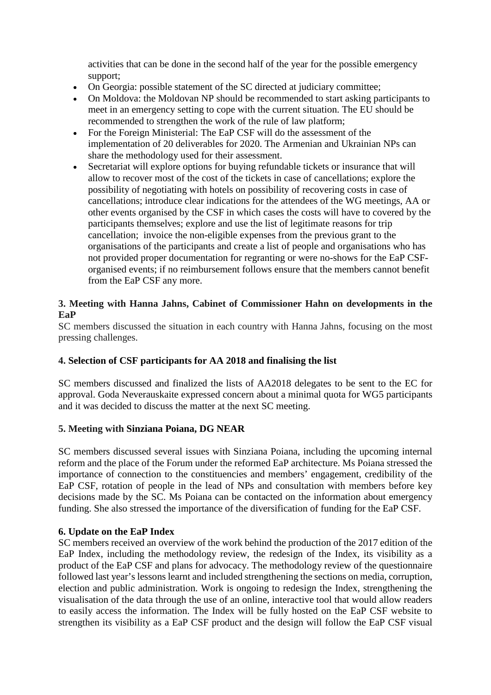activities that can be done in the second half of the year for the possible emergency support;

- On Georgia: possible statement of the SC directed at judiciary committee;
- On Moldova: the Moldovan NP should be recommended to start asking participants to meet in an emergency setting to cope with the current situation. The EU should be recommended to strengthen the work of the rule of law platform;
- For the Foreign Ministerial: The EaP CSF will do the assessment of the implementation of 20 deliverables for 2020. The Armenian and Ukrainian NPs can share the methodology used for their assessment.
- Secretariat will explore options for buying refundable tickets or insurance that will allow to recover most of the cost of the tickets in case of cancellations; explore the possibility of negotiating with hotels on possibility of recovering costs in case of cancellations; introduce clear indications for the attendees of the WG meetings, AA or other events organised by the CSF in which cases the costs will have to covered by the participants themselves; explore and use the list of legitimate reasons for trip cancellation; invoice the non-eligible expenses from the previous grant to the organisations of the participants and create a list of people and organisations who has not provided proper documentation for regranting or were no-shows for the EaP CSForganised events; if no reimbursement follows ensure that the members cannot benefit from the EaP CSF any more.

# **3. Meeting with Hanna Jahns, Cabinet of Commissioner Hahn on developments in the EaP**

SC members discussed the situation in each country with Hanna Jahns, focusing on the most pressing challenges.

#### **4. Selection of CSF participants for AA 2018 and finalising the list**

SC members discussed and finalized the lists of AA2018 delegates to be sent to the EC for approval. Goda Neverauskaite expressed concern about a minimal quota for WG5 participants and it was decided to discuss the matter at the next SC meeting.

#### **5. Meeting with Sinziana Poiana, DG NEAR**

SC members discussed several issues with Sinziana Poiana, including the upcoming internal reform and the place of the Forum under the reformed EaP architecture. Ms Poiana stressed the importance of connection to the constituencies and members' engagement, credibility of the EaP CSF, rotation of people in the lead of NPs and consultation with members before key decisions made by the SC. Ms Poiana can be contacted on the information about emergency funding. She also stressed the importance of the diversification of funding for the EaP CSF.

### **6. Update on the EaP Index**

SC members received an overview of the work behind the production of the 2017 edition of the EaP Index, including the methodology review, the redesign of the Index, its visibility as a product of the EaP CSF and plans for advocacy. The methodology review of the questionnaire followed last year's lessons learnt and included strengthening the sections on media, corruption, election and public administration. Work is ongoing to redesign the Index, strengthening the visualisation of the data through the use of an online, interactive tool that would allow readers to easily access the information. The Index will be fully hosted on the EaP CSF website to strengthen its visibility as a EaP CSF product and the design will follow the EaP CSF visual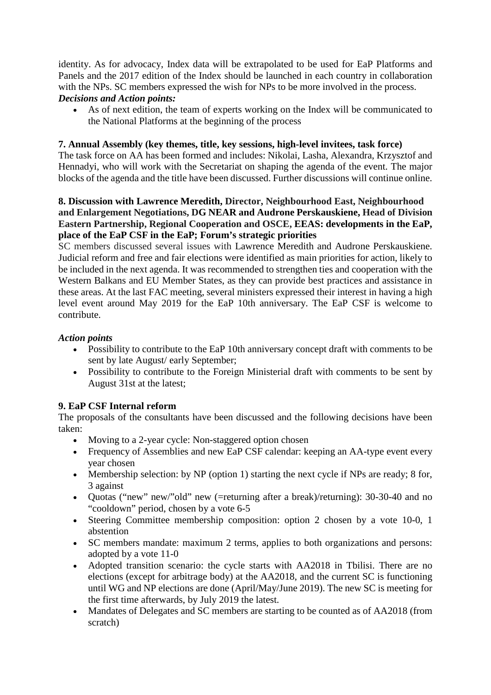identity. As for advocacy, Index data will be extrapolated to be used for EaP Platforms and Panels and the 2017 edition of the Index should be launched in each country in collaboration with the NPs. SC members expressed the wish for NPs to be more involved in the process.

# *Decisions and Action points:*

• As of next edition, the team of experts working on the Index will be communicated to the National Platforms at the beginning of the process

# **7. Annual Assembly (key themes, title, key sessions, high-level invitees, task force)**

The task force on AA has been formed and includes: Nikolai, Lasha, Alexandra, Krzysztof and Hennadyi, who will work with the Secretariat on shaping the agenda of the event. The major blocks of the agenda and the title have been discussed. Further discussions will continue online.

# **8. Discussion with Lawrence Meredith, Director, Neighbourhood East, Neighbourhood and Enlargement Negotiations, DG NEAR and Audrone Perskauskiene, Head of Division Eastern Partnership, Regional Cooperation and OSCE, EEAS: developments in the EaP, place of the EaP CSF in the EaP; Forum's strategic priorities**

SC members discussed several issues with Lawrence Meredith and Audrone Perskauskiene. Judicial reform and free and fair elections were identified as main priorities for action, likely to be included in the next agenda. It was recommended to strengthen ties and cooperation with the Western Balkans and EU Member States, as they can provide best practices and assistance in these areas. At the last FAC meeting, several ministers expressed their interest in having a high level event around May 2019 for the EaP 10th anniversary. The EaP CSF is welcome to contribute.

# *Action points*

- Possibility to contribute to the EaP 10th anniversary concept draft with comments to be sent by late August/ early September;
- Possibility to contribute to the Foreign Ministerial draft with comments to be sent by August 31st at the latest;

# **9. EaP CSF Internal reform**

The proposals of the consultants have been discussed and the following decisions have been taken:

- Moving to a 2-year cycle: Non-staggered option chosen
- Frequency of Assemblies and new EaP CSF calendar: keeping an AA-type event every year chosen
- Membership selection: by NP (option 1) starting the next cycle if NPs are ready; 8 for, 3 against
- Quotas ("new" new" old" new (=returning after a break)/returning): 30-30-40 and no "cooldown" period, chosen by a vote 6-5
- Steering Committee membership composition: option 2 chosen by a vote 10-0, 1 abstention
- SC members mandate: maximum 2 terms, applies to both organizations and persons: adopted by a vote 11-0
- Adopted transition scenario: the cycle starts with AA2018 in Tbilisi. There are no elections (except for arbitrage body) at the AA2018, and the current SC is functioning until WG and NP elections are done (April/May/June 2019). The new SC is meeting for the first time afterwards, by July 2019 the latest.
- Mandates of Delegates and SC members are starting to be counted as of AA2018 (from scratch)